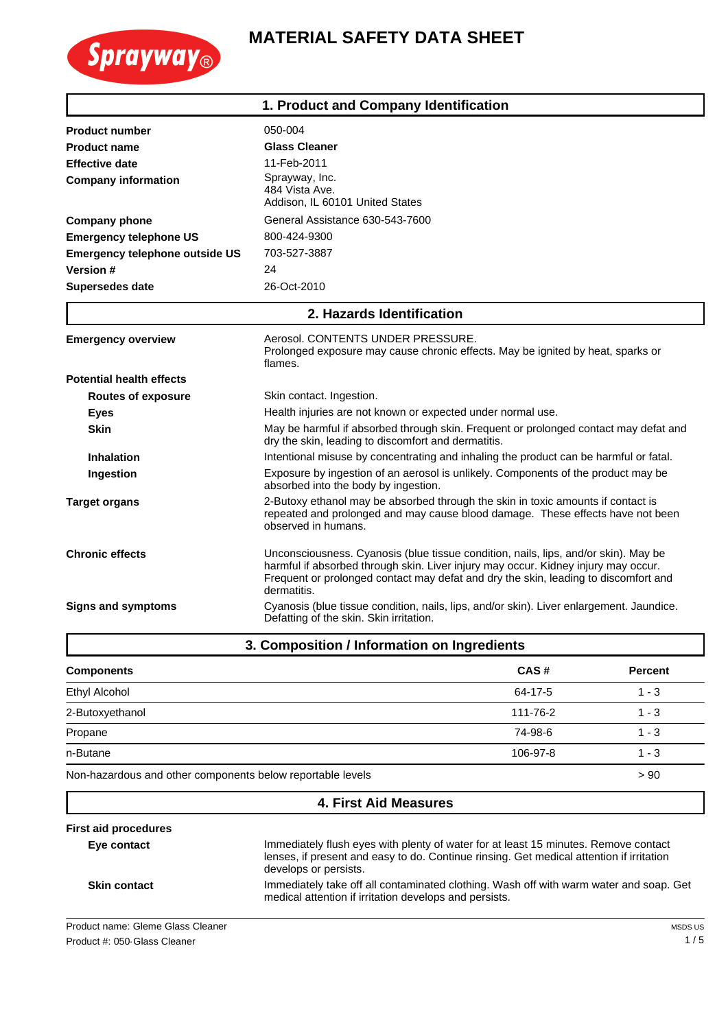

## **MATERIAL SAFETY DATA SHEET**

|                                       | 1. Product and Company Identification                                                                                                                                                                                                                                           |  |  |
|---------------------------------------|---------------------------------------------------------------------------------------------------------------------------------------------------------------------------------------------------------------------------------------------------------------------------------|--|--|
| <b>Product number</b>                 | 050-004                                                                                                                                                                                                                                                                         |  |  |
| <b>Product name</b>                   | <b>Glass Cleaner</b>                                                                                                                                                                                                                                                            |  |  |
| <b>Effective date</b>                 | 11-Feb-2011                                                                                                                                                                                                                                                                     |  |  |
| <b>Company information</b>            | Sprayway, Inc.<br>484 Vista Ave.<br>Addison, IL 60101 United States                                                                                                                                                                                                             |  |  |
| <b>Company phone</b>                  | General Assistance 630-543-7600                                                                                                                                                                                                                                                 |  |  |
| <b>Emergency telephone US</b>         | 800-424-9300                                                                                                                                                                                                                                                                    |  |  |
| <b>Emergency telephone outside US</b> | 703-527-3887                                                                                                                                                                                                                                                                    |  |  |
| <b>Version #</b>                      | 24                                                                                                                                                                                                                                                                              |  |  |
| <b>Supersedes date</b>                | 26-Oct-2010                                                                                                                                                                                                                                                                     |  |  |
|                                       | 2. Hazards Identification                                                                                                                                                                                                                                                       |  |  |
| <b>Emergency overview</b>             | Aerosol. CONTENTS UNDER PRESSURE.<br>Prolonged exposure may cause chronic effects. May be ignited by heat, sparks or<br>flames.                                                                                                                                                 |  |  |
| <b>Potential health effects</b>       |                                                                                                                                                                                                                                                                                 |  |  |
| <b>Routes of exposure</b>             | Skin contact. Ingestion.                                                                                                                                                                                                                                                        |  |  |
| <b>Eyes</b>                           | Health injuries are not known or expected under normal use.                                                                                                                                                                                                                     |  |  |
| <b>Skin</b>                           | May be harmful if absorbed through skin. Frequent or prolonged contact may defat and<br>dry the skin, leading to discomfort and dermatitis.                                                                                                                                     |  |  |
| <b>Inhalation</b>                     | Intentional misuse by concentrating and inhaling the product can be harmful or fatal.                                                                                                                                                                                           |  |  |
| Ingestion                             | Exposure by ingestion of an aerosol is unlikely. Components of the product may be<br>absorbed into the body by ingestion.                                                                                                                                                       |  |  |
| <b>Target organs</b>                  | 2-Butoxy ethanol may be absorbed through the skin in toxic amounts if contact is<br>repeated and prolonged and may cause blood damage. These effects have not been<br>observed in humans.                                                                                       |  |  |
| <b>Chronic effects</b>                | Unconsciousness. Cyanosis (blue tissue condition, nails, lips, and/or skin). May be<br>harmful if absorbed through skin. Liver injury may occur. Kidney injury may occur.<br>Frequent or prolonged contact may defat and dry the skin, leading to discomfort and<br>dermatitis. |  |  |
| <b>Signs and symptoms</b>             | Cyanosis (blue tissue condition, nails, lips, and/or skin). Liver enlargement. Jaundice.<br>Defatting of the skin. Skin irritation.                                                                                                                                             |  |  |

| 3. Composition / Information on Ingredients                |          |                |  |
|------------------------------------------------------------|----------|----------------|--|
| <b>Components</b>                                          | CAS#     | <b>Percent</b> |  |
| <b>Ethyl Alcohol</b>                                       | 64-17-5  | $1 - 3$        |  |
| 2-Butoxyethanol                                            | 111-76-2 | $1 - 3$        |  |
| Propane                                                    | 74-98-6  | $1 - 3$        |  |
| n-Butane                                                   | 106-97-8 | $1 - 3$        |  |
| Non-hazardous and other components below reportable levels |          | > 90           |  |

## **4. First Aid Measures**

**First aid procedures**

**Eye contact** Immediately flush eyes with plenty of water for at least 15 minutes. Remove contact lenses, if present and easy to do. Continue rinsing. Get medical attention if irritation develops or persists. **Skin contact** Immediately take off all contaminated clothing. Wash off with warm water and soap. Get medical attention if irritation develops and persists.

Product name: Gleme Glass Cleaner Product #: 050 Glass Cleaner experience of the extension data for the extension of the extension of the extension of the extension of the extension of the extension of the extension of the extension of the extension of the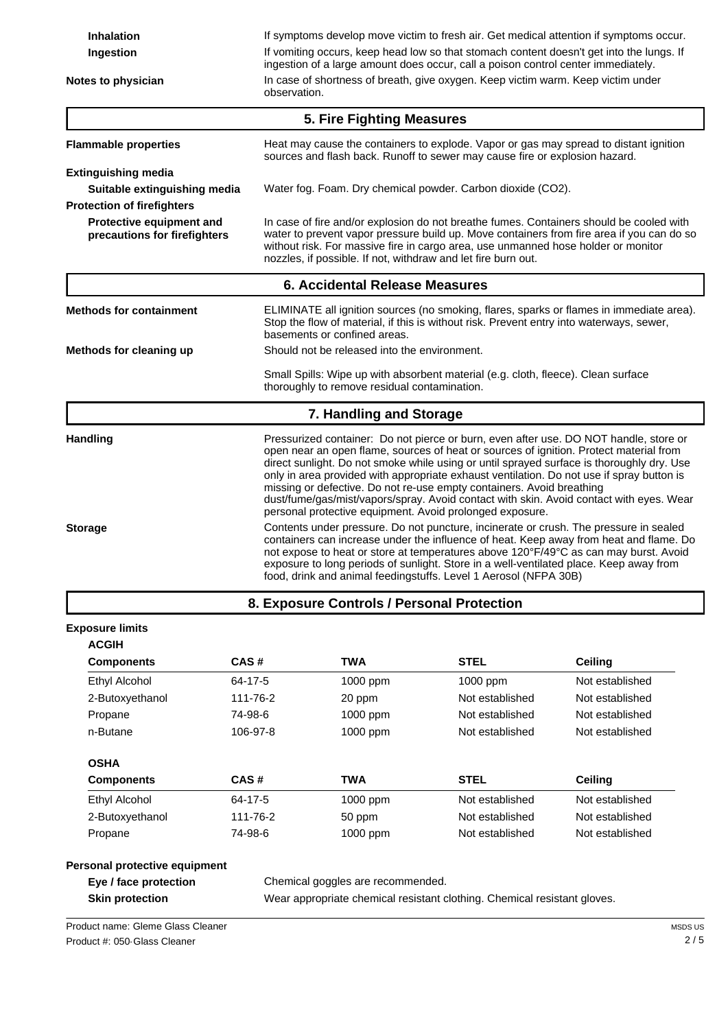| <b>Inhalation</b>                                        |                                                                                                                                                                                                                                                                                                                                                                                                                                                                                                                                                                                                                                                                                                                                                                                                                                                                                                                                                                                                                                                    |                                                                                                                                                                                                                                                                                                                                            | If symptoms develop move victim to fresh air. Get medical attention if symptoms occur.                                                                               |                 |  |
|----------------------------------------------------------|----------------------------------------------------------------------------------------------------------------------------------------------------------------------------------------------------------------------------------------------------------------------------------------------------------------------------------------------------------------------------------------------------------------------------------------------------------------------------------------------------------------------------------------------------------------------------------------------------------------------------------------------------------------------------------------------------------------------------------------------------------------------------------------------------------------------------------------------------------------------------------------------------------------------------------------------------------------------------------------------------------------------------------------------------|--------------------------------------------------------------------------------------------------------------------------------------------------------------------------------------------------------------------------------------------------------------------------------------------------------------------------------------------|----------------------------------------------------------------------------------------------------------------------------------------------------------------------|-----------------|--|
| Ingestion                                                |                                                                                                                                                                                                                                                                                                                                                                                                                                                                                                                                                                                                                                                                                                                                                                                                                                                                                                                                                                                                                                                    | If vomiting occurs, keep head low so that stomach content doesn't get into the lungs. If<br>ingestion of a large amount does occur, call a poison control center immediately.                                                                                                                                                              |                                                                                                                                                                      |                 |  |
| Notes to physician                                       |                                                                                                                                                                                                                                                                                                                                                                                                                                                                                                                                                                                                                                                                                                                                                                                                                                                                                                                                                                                                                                                    | In case of shortness of breath, give oxygen. Keep victim warm. Keep victim under<br>observation.                                                                                                                                                                                                                                           |                                                                                                                                                                      |                 |  |
|                                                          |                                                                                                                                                                                                                                                                                                                                                                                                                                                                                                                                                                                                                                                                                                                                                                                                                                                                                                                                                                                                                                                    | 5. Fire Fighting Measures                                                                                                                                                                                                                                                                                                                  |                                                                                                                                                                      |                 |  |
| <b>Flammable properties</b>                              |                                                                                                                                                                                                                                                                                                                                                                                                                                                                                                                                                                                                                                                                                                                                                                                                                                                                                                                                                                                                                                                    |                                                                                                                                                                                                                                                                                                                                            | Heat may cause the containers to explode. Vapor or gas may spread to distant ignition<br>sources and flash back. Runoff to sewer may cause fire or explosion hazard. |                 |  |
| <b>Extinguishing media</b>                               |                                                                                                                                                                                                                                                                                                                                                                                                                                                                                                                                                                                                                                                                                                                                                                                                                                                                                                                                                                                                                                                    |                                                                                                                                                                                                                                                                                                                                            |                                                                                                                                                                      |                 |  |
| Suitable extinguishing media                             |                                                                                                                                                                                                                                                                                                                                                                                                                                                                                                                                                                                                                                                                                                                                                                                                                                                                                                                                                                                                                                                    |                                                                                                                                                                                                                                                                                                                                            | Water fog. Foam. Dry chemical powder. Carbon dioxide (CO2).                                                                                                          |                 |  |
| <b>Protection of firefighters</b>                        |                                                                                                                                                                                                                                                                                                                                                                                                                                                                                                                                                                                                                                                                                                                                                                                                                                                                                                                                                                                                                                                    |                                                                                                                                                                                                                                                                                                                                            |                                                                                                                                                                      |                 |  |
| Protective equipment and<br>precautions for firefighters |                                                                                                                                                                                                                                                                                                                                                                                                                                                                                                                                                                                                                                                                                                                                                                                                                                                                                                                                                                                                                                                    | In case of fire and/or explosion do not breathe fumes. Containers should be cooled with<br>water to prevent vapor pressure build up. Move containers from fire area if you can do so<br>without risk. For massive fire in cargo area, use unmanned hose holder or monitor<br>nozzles, if possible. If not, withdraw and let fire burn out. |                                                                                                                                                                      |                 |  |
|                                                          |                                                                                                                                                                                                                                                                                                                                                                                                                                                                                                                                                                                                                                                                                                                                                                                                                                                                                                                                                                                                                                                    | 6. Accidental Release Measures                                                                                                                                                                                                                                                                                                             |                                                                                                                                                                      |                 |  |
| <b>Methods for containment</b>                           |                                                                                                                                                                                                                                                                                                                                                                                                                                                                                                                                                                                                                                                                                                                                                                                                                                                                                                                                                                                                                                                    | ELIMINATE all ignition sources (no smoking, flares, sparks or flames in immediate area).<br>Stop the flow of material, if this is without risk. Prevent entry into waterways, sewer,<br>basements or confined areas.                                                                                                                       |                                                                                                                                                                      |                 |  |
| Methods for cleaning up                                  |                                                                                                                                                                                                                                                                                                                                                                                                                                                                                                                                                                                                                                                                                                                                                                                                                                                                                                                                                                                                                                                    | Should not be released into the environment.                                                                                                                                                                                                                                                                                               |                                                                                                                                                                      |                 |  |
|                                                          | Small Spills: Wipe up with absorbent material (e.g. cloth, fleece). Clean surface<br>thoroughly to remove residual contamination.                                                                                                                                                                                                                                                                                                                                                                                                                                                                                                                                                                                                                                                                                                                                                                                                                                                                                                                  |                                                                                                                                                                                                                                                                                                                                            |                                                                                                                                                                      |                 |  |
|                                                          |                                                                                                                                                                                                                                                                                                                                                                                                                                                                                                                                                                                                                                                                                                                                                                                                                                                                                                                                                                                                                                                    | 7. Handling and Storage                                                                                                                                                                                                                                                                                                                    |                                                                                                                                                                      |                 |  |
| <b>Handling</b><br><b>Storage</b>                        | Pressurized container: Do not pierce or burn, even after use. DO NOT handle, store or<br>open near an open flame, sources of heat or sources of ignition. Protect material from<br>direct sunlight. Do not smoke while using or until sprayed surface is thoroughly dry. Use<br>only in area provided with appropriate exhaust ventilation. Do not use if spray button is<br>missing or defective. Do not re-use empty containers. Avoid breathing<br>dust/fume/gas/mist/vapors/spray. Avoid contact with skin. Avoid contact with eyes. Wear<br>personal protective equipment. Avoid prolonged exposure.<br>Contents under pressure. Do not puncture, incinerate or crush. The pressure in sealed<br>containers can increase under the influence of heat. Keep away from heat and flame. Do<br>not expose to heat or store at temperatures above 120°F/49°C as can may burst. Avoid<br>exposure to long periods of sunlight. Store in a well-ventilated place. Keep away from<br>food, drink and animal feedingstuffs. Level 1 Aerosol (NFPA 30B) |                                                                                                                                                                                                                                                                                                                                            |                                                                                                                                                                      |                 |  |
|                                                          |                                                                                                                                                                                                                                                                                                                                                                                                                                                                                                                                                                                                                                                                                                                                                                                                                                                                                                                                                                                                                                                    | 8. Exposure Controls / Personal Protection                                                                                                                                                                                                                                                                                                 |                                                                                                                                                                      |                 |  |
| <b>Exposure limits</b><br><b>ACGIH</b>                   |                                                                                                                                                                                                                                                                                                                                                                                                                                                                                                                                                                                                                                                                                                                                                                                                                                                                                                                                                                                                                                                    |                                                                                                                                                                                                                                                                                                                                            |                                                                                                                                                                      |                 |  |
| <b>Components</b>                                        | CAS#                                                                                                                                                                                                                                                                                                                                                                                                                                                                                                                                                                                                                                                                                                                                                                                                                                                                                                                                                                                                                                               | <b>TWA</b>                                                                                                                                                                                                                                                                                                                                 | <b>STEL</b>                                                                                                                                                          | Ceiling         |  |
| <b>Ethyl Alcohol</b>                                     | 64-17-5                                                                                                                                                                                                                                                                                                                                                                                                                                                                                                                                                                                                                                                                                                                                                                                                                                                                                                                                                                                                                                            | 1000 ppm                                                                                                                                                                                                                                                                                                                                   | 1000 ppm                                                                                                                                                             | Not established |  |
| 2-Butoxyethanol                                          | 111-76-2                                                                                                                                                                                                                                                                                                                                                                                                                                                                                                                                                                                                                                                                                                                                                                                                                                                                                                                                                                                                                                           | 20 ppm                                                                                                                                                                                                                                                                                                                                     | Not established                                                                                                                                                      | Not established |  |
| Propane                                                  | 74-98-6                                                                                                                                                                                                                                                                                                                                                                                                                                                                                                                                                                                                                                                                                                                                                                                                                                                                                                                                                                                                                                            | 1000 ppm                                                                                                                                                                                                                                                                                                                                   | Not established                                                                                                                                                      | Not established |  |
| n-Butane                                                 | 106-97-8                                                                                                                                                                                                                                                                                                                                                                                                                                                                                                                                                                                                                                                                                                                                                                                                                                                                                                                                                                                                                                           | 1000 ppm                                                                                                                                                                                                                                                                                                                                   | Not established                                                                                                                                                      | Not established |  |
| <b>OSHA</b>                                              |                                                                                                                                                                                                                                                                                                                                                                                                                                                                                                                                                                                                                                                                                                                                                                                                                                                                                                                                                                                                                                                    |                                                                                                                                                                                                                                                                                                                                            |                                                                                                                                                                      |                 |  |
| <b>Components</b>                                        | CAS#                                                                                                                                                                                                                                                                                                                                                                                                                                                                                                                                                                                                                                                                                                                                                                                                                                                                                                                                                                                                                                               | <b>TWA</b>                                                                                                                                                                                                                                                                                                                                 | <b>STEL</b>                                                                                                                                                          | <b>Ceiling</b>  |  |
| <b>Ethyl Alcohol</b>                                     | 64-17-5                                                                                                                                                                                                                                                                                                                                                                                                                                                                                                                                                                                                                                                                                                                                                                                                                                                                                                                                                                                                                                            | 1000 ppm                                                                                                                                                                                                                                                                                                                                   | Not established                                                                                                                                                      | Not established |  |
| 2-Butoxyethanol                                          | 111-76-2                                                                                                                                                                                                                                                                                                                                                                                                                                                                                                                                                                                                                                                                                                                                                                                                                                                                                                                                                                                                                                           | 50 ppm                                                                                                                                                                                                                                                                                                                                     | Not established                                                                                                                                                      | Not established |  |
| Propane                                                  | 74-98-6                                                                                                                                                                                                                                                                                                                                                                                                                                                                                                                                                                                                                                                                                                                                                                                                                                                                                                                                                                                                                                            | 1000 ppm                                                                                                                                                                                                                                                                                                                                   | Not established                                                                                                                                                      | Not established |  |
| Personal protective equipment<br>Eye / face protection   |                                                                                                                                                                                                                                                                                                                                                                                                                                                                                                                                                                                                                                                                                                                                                                                                                                                                                                                                                                                                                                                    | Chemical goggles are recommended.                                                                                                                                                                                                                                                                                                          |                                                                                                                                                                      |                 |  |

**Skin protection** Wear appropriate chemical resistant clothing. Chemical resistant gloves.

Product name: Gleme Glass Cleaner Product #: 050 Glass Cleaner experience of the extension data for the extension of the extension of the extension of the extension of the extension of the extension of the extension of the extension of the extension of the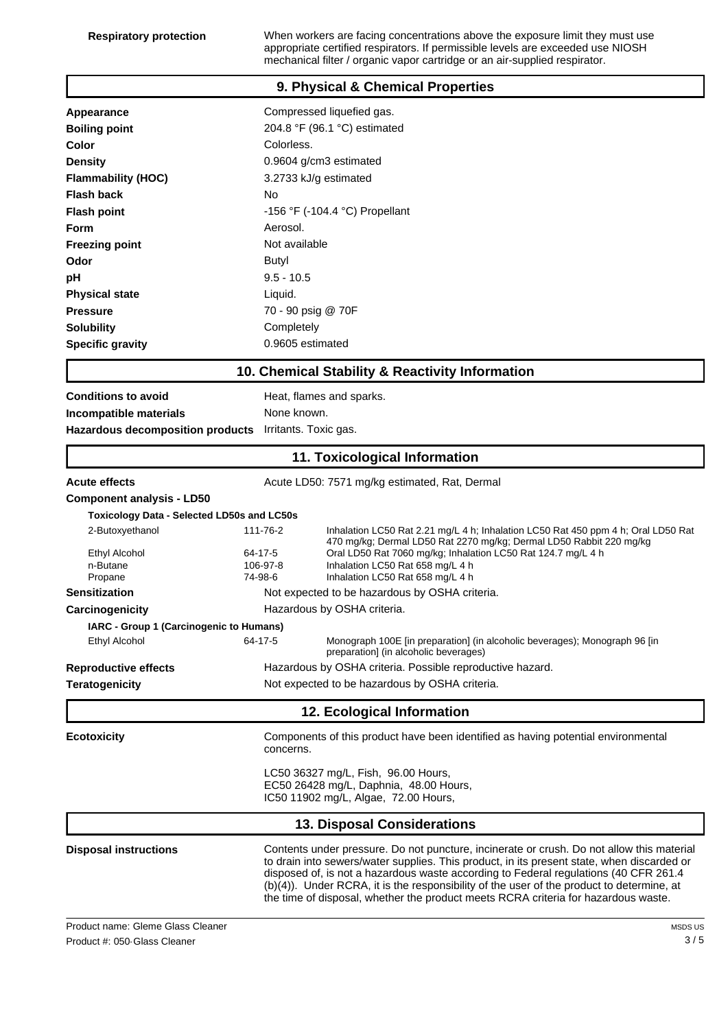**Respiratory protection** When workers are facing concentrations above the exposure limit they must use appropriate certified respirators. If permissible levels are exceeded use NIOSH mechanical filter / organic vapor cartridge or an air-supplied respirator.

## **9. Physical & Chemical Properties**

|                                                                      |                              | 9. Physical & Chemical Properties                                                                                                                                                                                                                                                                                                                                                                                                                                  |  |  |
|----------------------------------------------------------------------|------------------------------|--------------------------------------------------------------------------------------------------------------------------------------------------------------------------------------------------------------------------------------------------------------------------------------------------------------------------------------------------------------------------------------------------------------------------------------------------------------------|--|--|
| <b>Appearance</b>                                                    |                              | Compressed liquefied gas.                                                                                                                                                                                                                                                                                                                                                                                                                                          |  |  |
| <b>Boiling point</b>                                                 | 204.8 °F (96.1 °C) estimated |                                                                                                                                                                                                                                                                                                                                                                                                                                                                    |  |  |
| Color                                                                | Colorless.                   |                                                                                                                                                                                                                                                                                                                                                                                                                                                                    |  |  |
| <b>Density</b>                                                       | 0.9604 g/cm3 estimated       |                                                                                                                                                                                                                                                                                                                                                                                                                                                                    |  |  |
| <b>Flammability (HOC)</b>                                            |                              | 3.2733 kJ/g estimated                                                                                                                                                                                                                                                                                                                                                                                                                                              |  |  |
| Flash back                                                           | No                           |                                                                                                                                                                                                                                                                                                                                                                                                                                                                    |  |  |
| <b>Flash point</b>                                                   |                              | -156 °F (-104.4 °C) Propellant                                                                                                                                                                                                                                                                                                                                                                                                                                     |  |  |
| Form                                                                 | Aerosol.                     |                                                                                                                                                                                                                                                                                                                                                                                                                                                                    |  |  |
| <b>Freezing point</b>                                                | Not available                |                                                                                                                                                                                                                                                                                                                                                                                                                                                                    |  |  |
| Odor                                                                 | Butyl                        |                                                                                                                                                                                                                                                                                                                                                                                                                                                                    |  |  |
| pН                                                                   | $9.5 - 10.5$                 |                                                                                                                                                                                                                                                                                                                                                                                                                                                                    |  |  |
| <b>Physical state</b>                                                | Liquid.                      |                                                                                                                                                                                                                                                                                                                                                                                                                                                                    |  |  |
| <b>Pressure</b>                                                      |                              | 70 - 90 psig @ 70F                                                                                                                                                                                                                                                                                                                                                                                                                                                 |  |  |
| <b>Solubility</b>                                                    | Completely                   |                                                                                                                                                                                                                                                                                                                                                                                                                                                                    |  |  |
| <b>Specific gravity</b>                                              |                              | 0.9605 estimated                                                                                                                                                                                                                                                                                                                                                                                                                                                   |  |  |
|                                                                      |                              | 10. Chemical Stability & Reactivity Information                                                                                                                                                                                                                                                                                                                                                                                                                    |  |  |
| <b>Conditions to avoid</b>                                           |                              | Heat, flames and sparks.                                                                                                                                                                                                                                                                                                                                                                                                                                           |  |  |
| Incompatible materials                                               | None known.                  |                                                                                                                                                                                                                                                                                                                                                                                                                                                                    |  |  |
| <b>Hazardous decomposition products</b>                              |                              | Irritants. Toxic gas.                                                                                                                                                                                                                                                                                                                                                                                                                                              |  |  |
|                                                                      |                              | 11. Toxicological Information                                                                                                                                                                                                                                                                                                                                                                                                                                      |  |  |
| <b>Acute effects</b>                                                 |                              | Acute LD50: 7571 mg/kg estimated, Rat, Dermal                                                                                                                                                                                                                                                                                                                                                                                                                      |  |  |
|                                                                      |                              |                                                                                                                                                                                                                                                                                                                                                                                                                                                                    |  |  |
| <b>Component analysis - LD50</b>                                     |                              |                                                                                                                                                                                                                                                                                                                                                                                                                                                                    |  |  |
| <b>Toxicology Data - Selected LD50s and LC50s</b><br>2-Butoxyethanol | 111-76-2                     | Inhalation LC50 Rat 2.21 mg/L 4 h; Inhalation LC50 Rat 450 ppm 4 h; Oral LD50 Rat                                                                                                                                                                                                                                                                                                                                                                                  |  |  |
|                                                                      |                              | 470 mg/kg; Dermal LD50 Rat 2270 mg/kg; Dermal LD50 Rabbit 220 mg/kg                                                                                                                                                                                                                                                                                                                                                                                                |  |  |
| Ethyl Alcohol                                                        | 64-17-5                      | Oral LD50 Rat 7060 mg/kg; Inhalation LC50 Rat 124.7 mg/L 4 h                                                                                                                                                                                                                                                                                                                                                                                                       |  |  |
| n-Butane<br>Propane                                                  | 106-97-8<br>74-98-6          | Inhalation LC50 Rat 658 mg/L 4 h<br>Inhalation LC50 Rat 658 mg/L 4 h                                                                                                                                                                                                                                                                                                                                                                                               |  |  |
| <b>Sensitization</b>                                                 |                              | Not expected to be hazardous by OSHA criteria.                                                                                                                                                                                                                                                                                                                                                                                                                     |  |  |
| Carcinogenicity                                                      |                              | Hazardous by OSHA criteria.                                                                                                                                                                                                                                                                                                                                                                                                                                        |  |  |
| IARC - Group 1 (Carcinogenic to Humans)                              |                              |                                                                                                                                                                                                                                                                                                                                                                                                                                                                    |  |  |
| Ethyl Alcohol                                                        | 64-17-5                      | Monograph 100E [in preparation] (in alcoholic beverages); Monograph 96 [in<br>preparation] (in alcoholic beverages)                                                                                                                                                                                                                                                                                                                                                |  |  |
| <b>Reproductive effects</b>                                          |                              | Hazardous by OSHA criteria. Possible reproductive hazard.                                                                                                                                                                                                                                                                                                                                                                                                          |  |  |
| <b>Teratogenicity</b>                                                |                              | Not expected to be hazardous by OSHA criteria.                                                                                                                                                                                                                                                                                                                                                                                                                     |  |  |
|                                                                      |                              | 12. Ecological Information                                                                                                                                                                                                                                                                                                                                                                                                                                         |  |  |
| <b>Ecotoxicity</b>                                                   |                              | Components of this product have been identified as having potential environmental<br>concerns.                                                                                                                                                                                                                                                                                                                                                                     |  |  |
|                                                                      |                              | LC50 36327 mg/L, Fish, 96.00 Hours,<br>EC50 26428 mg/L, Daphnia, 48.00 Hours,<br>IC50 11902 mg/L, Algae, 72.00 Hours,                                                                                                                                                                                                                                                                                                                                              |  |  |
|                                                                      |                              | <b>13. Disposal Considerations</b>                                                                                                                                                                                                                                                                                                                                                                                                                                 |  |  |
| <b>Disposal instructions</b>                                         |                              | Contents under pressure. Do not puncture, incinerate or crush. Do not allow this material<br>to drain into sewers/water supplies. This product, in its present state, when discarded or<br>disposed of, is not a hazardous waste according to Federal regulations (40 CFR 261.4<br>(b)(4)). Under RCRA, it is the responsibility of the user of the product to determine, at<br>the time of disposal, whether the product meets RCRA criteria for hazardous waste. |  |  |

Product name: Gleme Glass Cleaner Product #: 050 Glass Cleaner experience of the extension data for the extension of the extension of the extension of the extension of the extension of the extension of the extension of the extension of the extension of the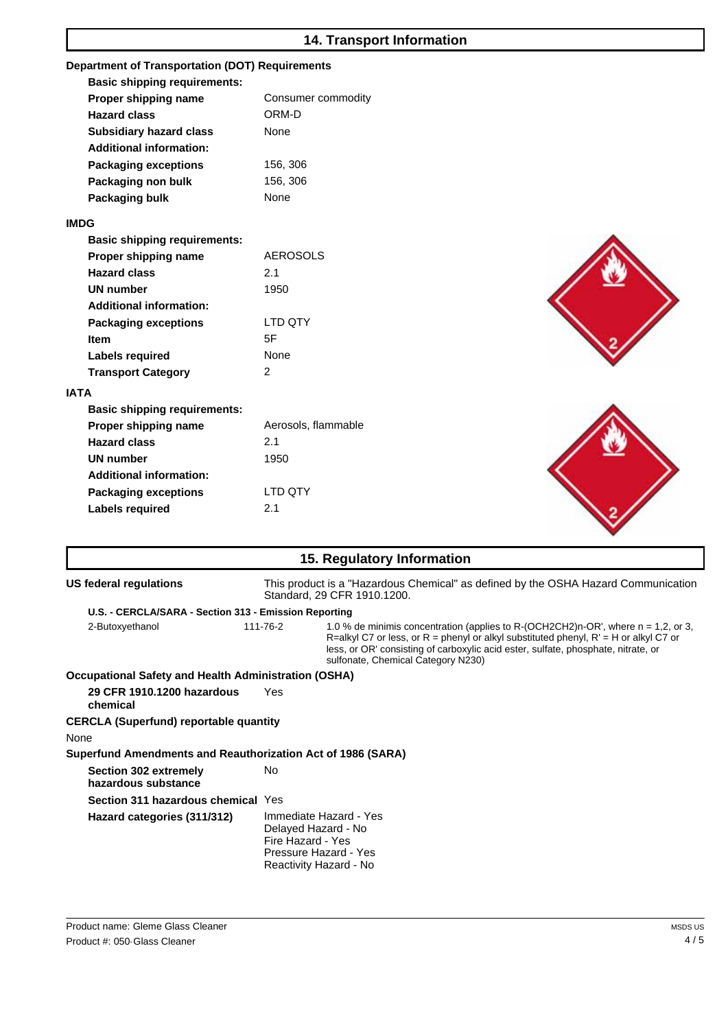## **14. Transport Information**

| <b>Department of Transportation (DOT) Requirements</b> |                     |  |
|--------------------------------------------------------|---------------------|--|
| <b>Basic shipping requirements:</b>                    |                     |  |
| Proper shipping name                                   | Consumer commodity  |  |
| <b>Hazard class</b>                                    | ORM-D               |  |
| <b>Subsidiary hazard class</b>                         | None                |  |
| <b>Additional information:</b>                         |                     |  |
| <b>Packaging exceptions</b>                            | 156, 306            |  |
| Packaging non bulk                                     | 156, 306            |  |
| Packaging bulk                                         | None                |  |
| <b>IMDG</b>                                            |                     |  |
| <b>Basic shipping requirements:</b>                    |                     |  |
| Proper shipping name                                   | <b>AEROSOLS</b>     |  |
| <b>Hazard class</b>                                    | 2.1                 |  |
| <b>UN number</b>                                       | 1950                |  |
| <b>Additional information:</b>                         |                     |  |
| <b>Packaging exceptions</b>                            | LTD QTY             |  |
| <b>Item</b>                                            | 5F                  |  |
| <b>Labels required</b>                                 | None                |  |
| <b>Transport Category</b>                              | 2                   |  |
| <b>IATA</b>                                            |                     |  |
| <b>Basic shipping requirements:</b>                    |                     |  |
| Proper shipping name                                   | Aerosols, flammable |  |
| <b>Hazard class</b>                                    | 2.1                 |  |
| UN number                                              | 1950                |  |
| <b>Additional information:</b>                         |                     |  |
| <b>Packaging exceptions</b>                            | LTD QTY             |  |
| <b>Labels required</b>                                 | 2.1                 |  |
|                                                        |                     |  |

| 15. Regulatory Information                                  |                                                                                                                                                                                                                                                                                                                  |  |  |
|-------------------------------------------------------------|------------------------------------------------------------------------------------------------------------------------------------------------------------------------------------------------------------------------------------------------------------------------------------------------------------------|--|--|
| US federal regulations                                      | This product is a "Hazardous Chemical" as defined by the OSHA Hazard Communication<br>Standard, 29 CFR 1910.1200.                                                                                                                                                                                                |  |  |
| U.S. - CERCLA/SARA - Section 313 - Emission Reporting       |                                                                                                                                                                                                                                                                                                                  |  |  |
| 2-Butoxyethanol                                             | 111-76-2<br>1.0 % de minimis concentration (applies to R-(OCH2CH2)n-OR', where n = 1,2, or 3,<br>R=alkyl C7 or less, or R = phenyl or alkyl substituted phenyl, R' = H or alkyl C7 or<br>less, or OR' consisting of carboxylic acid ester, sulfate, phosphate, nitrate, or<br>sulfonate, Chemical Category N230) |  |  |
| <b>Occupational Safety and Health Administration (OSHA)</b> |                                                                                                                                                                                                                                                                                                                  |  |  |
| 29 CFR 1910.1200 hazardous<br>chemical                      | Yes                                                                                                                                                                                                                                                                                                              |  |  |
| <b>CERCLA (Superfund) reportable quantity</b>               |                                                                                                                                                                                                                                                                                                                  |  |  |
| None                                                        |                                                                                                                                                                                                                                                                                                                  |  |  |
| Superfund Amendments and Reauthorization Act of 1986 (SARA) |                                                                                                                                                                                                                                                                                                                  |  |  |
| <b>Section 302 extremely</b><br>hazardous substance         | No                                                                                                                                                                                                                                                                                                               |  |  |
| Section 311 hazardous chemical Yes                          |                                                                                                                                                                                                                                                                                                                  |  |  |
| Hazard categories (311/312)                                 | Immediate Hazard - Yes<br>Delayed Hazard - No<br>Fire Hazard - Yes<br>Pressure Hazard - Yes<br>Reactivity Hazard - No                                                                                                                                                                                            |  |  |